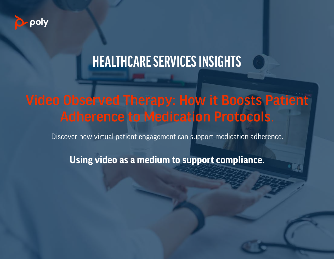

## **HEALTHCARE SERVICES INSIGHTS**

### Video Observed Therapy: How it Boosts Patient Adherence to Medication Protocols.

Discover how virtual patient engagement can support medication adherence.

**Using video as a medium to support compliance.**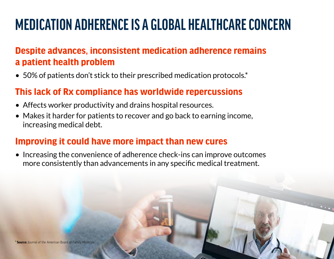# **MEDICATION ADHERENCE IS A GLOBAL HEALTHCARE CONCERN**

### **Despite advances, inconsistent medication adherence remains a patient health problem**

• 50% of patients don't stick to their prescribed medication protocols.\*

### **This lack of Rx compliance has worldwide repercussions**

- Affects worker productivity and drains hospital resources.
- Makes it harder for patients to recover and go back to earning income, increasing medical debt.

### **Improving it could have more impact than new cures**

• Increasing the convenience of adherence check-ins can improve outcomes more consistently than advancements in any specific medical treatment.

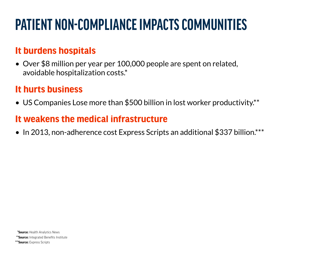# **PATIENT NON-COMPLIANCE IMPACTS COMMUNITIES**

### **It burdens hospitals**

• Over \$8 million per year per 100,000 people are spent on related, avoidable hospitalization costs.\*

### **It hurts business**

• US Companies Lose more than \$500 billion in lost worker productivity.\*\*

### **It weakens the medical infrastructure**

• In 2013, non-adherence cost Express Scripts an additional \$337 billion.\*\*\*

 **\*Source:** Health Analytics News

 **\*\*Source:** Integrated Benefits Institute

**\*\*\*Source:** Express Scripts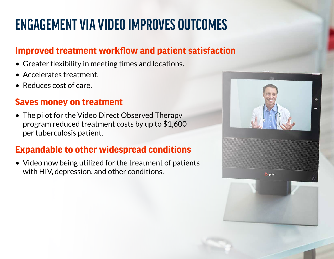# **ENGAGEMENT VIA VIDEO IMPROVES OUTCOMES**

### **Improved treatment workflow and patient satisfaction**

- Greater flexibility in meeting times and locations.
- Accelerates treatment.
- Reduces cost of care.

#### **Saves money on treatment**

• The pilot for the Video Direct Observed Therapy program reduced treatment costs by up to \$1,600 per tuberculosis patient.

### **Expandable to other widespread conditions**

• Video now being utilized for the treatment of patients with HIV, depression, and other conditions.

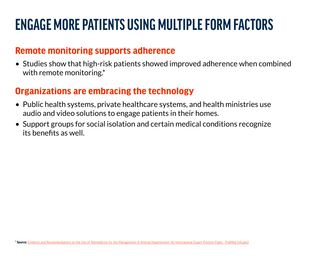# **ENGAGE MORE PATIENTS USING MULTIPLE FORM FACTORS**

#### **Remote monitoring supports adherence**

• Studies show that high-risk patients showed improved adherence when combined with remote monitoring.\*

#### **Organizations are embracing the technology**

- Public health systems, private healthcare systems, and health ministries use audio and video solutions to engage patients in their homes.
- Support groups for social isolation and certain medical conditions recognize its benefits as well.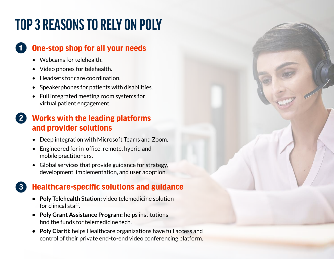# **TOP 3 REASONS TO RELY ON POLY**

#### **One-stop shop for all your needs 1**

- Webcams for telehealth.
- Video phones for telehealth.
- Headsets for care coordination.
- Speakerphones for patients with disabilities.
- Full integrated meeting room systems for virtual patient engagement.

#### **Works with the leading platforms and provider solutions 2**

- Deep integration with Microsoft Teams and Zoom.
- Engineered for in-office, remote, hybrid and mobile practitioners.
- Global services that provide guidance for strategy, development, implementation, and user adoption.

#### **Healthcare-specific solutions and guidance 3**

- **• Poly Telehealth Station:** video telemedicine solution for clinical staff.
- **• Poly Grant Assistance Program:** helps institutions find the funds for telemedicine tech.
- **• Poly Clariti:** helps Healthcare organizations have full access and control of their private end-to-end video conferencing platform.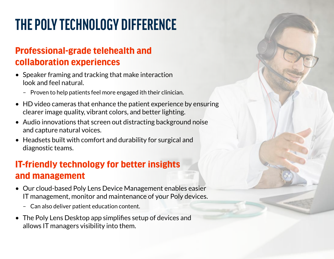# **THE POLY TECHNOLOGY DIFFERENCE**

### **Professional-grade telehealth and collaboration experiences**

- Speaker framing and tracking that make interaction look and feel natural.
	- Proven to help patients feel more engaged ith their clinician.
- HD video cameras that enhance the patient experience by ensuring clearer image quality, vibrant colors, and better lighting.
- Audio innovations that screen out distracting background noise and capture natural voices.
- Headsets built with comfort and durability for surgical and diagnostic teams.

### **IT-friendly technology for better insights and management**

- Our cloud-based Poly Lens Device Management enables easier IT management, monitor and maintenance of your Poly devices.
	- Can also deliver patient education content.
- The Poly Lens Desktop app simplifies setup of devices and allows IT managers visibility into them.